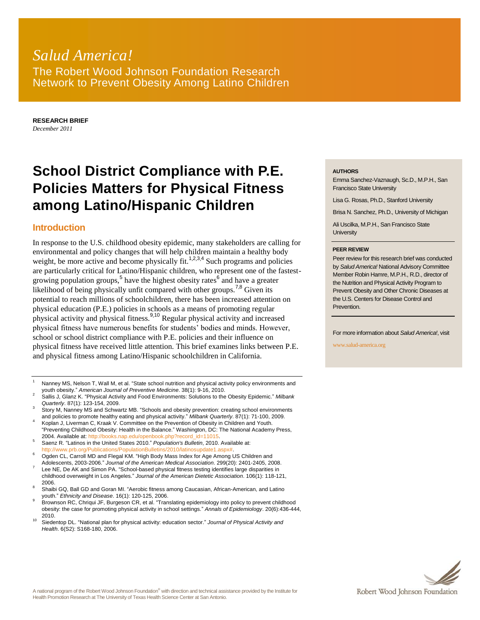## *Salud America!* The Robert Wood Johnson Foundation Research Network to Prevent Obesity Among Latino Children

**RESEARCH BRIEF** *December 2011*

# **School District Compliance with P.E. Policies Matters for Physical Fitness among Latino/Hispanic Children**

## **Introduction**

In response to the U.S. childhood obesity epidemic, many stakeholders are calling for environmental and policy changes that will help children maintain a healthy body weight, be more active and become physically  $\text{fit}^{1,2,3,4}$  Such programs and policies are particularly critical for Latino/Hispanic children, who represent one of the fastestgrowing population groups,<sup>5</sup> have the highest obesity rates<sup>6</sup> and have a greater likelihood of being physically unfit compared with other groups.<sup>7,8</sup> Given its potential to reach millions of schoolchildren, there has been increased attention on physical education (P.E.) policies in schools as a means of promoting regular physical activity and physical fitness.<sup>9</sup>,<sup>10</sup> Regular physical activity and increased physical fitness have numerous benefits for students' bodies and minds. However, school or school district compliance with P.E. policies and their influence on physical fitness have received little attention. This brief examines links between P.E. and physical fitness among Latino/Hispanic schoolchildren in California.

- <sup>1</sup> Nanney MS, Nelson T, Wall M, et al. "State school nutrition and physical activity policy environments and youth obesity." *American Journal of Preventive Medicine*. 38(1): 9-16, 2010.
- <sup>2</sup> Sallis J, Glanz K. "Physical Activity and Food Environments: Solutions to the Obesity Epidemic." *Milbank Quarterly*. 87(1): 123-154, 2009.
- Story M, Nanney MS and Schwartz MB. "Schools and obesity prevention: creating school environments and policies to promote healthy eating and physical activity." *Milbank Quarterly*. 87(1): 71-100, 2009.
- Koplan J, Liverman C, Kraak V. Committee on the Prevention of Obesity in Children and Youth. "Preventing Childhood Obesity: Health in the Balance." Washington, DC: The National Academy Press, 2004. Available at: [http://books.nap.edu/openbook.php?record\\_id=11015.](http://books.nap.edu/openbook.php?record_id=11015)
- <sup>5</sup> Saenz R. "Latinos in the United States 2010." *Population's Bulletin*, 2010. Available at: [http://www.prb.org/Publications/PopulationBulletins/2010/latinosupdate1.aspx#.](http://www.prb.org/Publications/PopulationBulletins/2010/latinosupdate1.aspx)
- <sup>6</sup> Ogden CL, Carroll MD and Flegal KM. "High Body Mass Index for Age Among US Children and Adolescents, 2003-2006." *Journal of the American Medical Association*. 299(20): 2401-2405, 2008.
- 7 Lee NE, De AK and Simon PA. "School-based physical fitness testing identifies large disparities in childhood overweight in Los Angeles." *Journal of the American Dietetic Association*. 106(1): 118-121, 2006.
- 8 Shaibi GQ, Ball GD and Goran MI. "Aerobic fitness among Caucasian, African-American, and Latino youth." *Ethnicity and Disease*. 16(1): 120-125, 2006.
- Brownson RC, Chriqui JF, Burgeson CR, et al. "Translating epidemiology into policy to prevent childhood obesity: the case for promoting physical activity in school settings." *Annals of Epidemiology*. 20(6):436-444, 2010.
- <sup>10</sup> Siedentop DL. "National plan for physical activity: education sector." *Journal of Physical Activity and Health*. 6(S2): S168-180, 2006.

#### **AUTHORS**

Emma Sanchez-Vaznaugh, Sc.D., M.P.H., San Francisco State University

Lisa G. Rosas, Ph.D., Stanford University

Brisa N. Sanchez, Ph.D., University of Michigan

Ali Uscilka, M.P.H., San Francisco State **University** 

#### **PEER REVIEW**

Peer review for this research brief was conducted by *Salud America!* National Advisory Committee Member Robin Hamre, M.P.H., R.D., director of the Nutrition and Physical Activity Program to Prevent Obesity and Other Chronic Diseases at the U.S. Centers for Disease Control and **Prevention** 

For more information about *Salud America!*, visit

www.salud-america.org

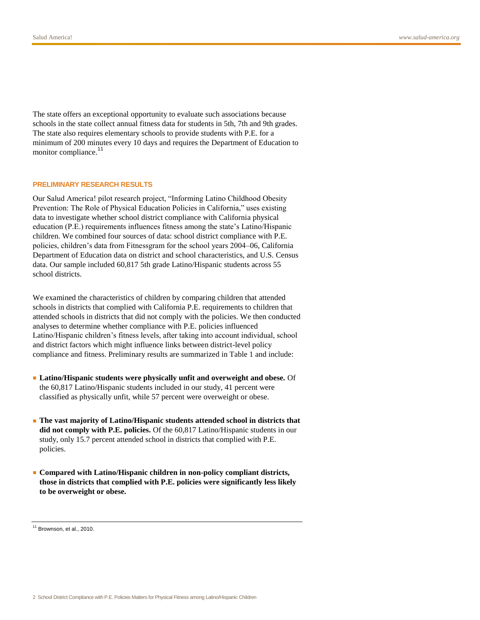The state offers an exceptional opportunity to evaluate such associations because schools in the state collect annual fitness data for students in 5th, 7th and 9th grades. The state also requires elementary schools to provide students with P.E. for a minimum of 200 minutes every 10 days and requires the Department of Education to monitor compliance.<sup>11</sup>

#### **PRELIMINARY RESEARCH RESULTS**

Our Salud America! pilot research project, "Informing Latino Childhood Obesity Prevention: The Role of Physical Education Policies in California," uses existing data to investigate whether school district compliance with California physical education (P.E.) requirements influences fitness among the state's Latino/Hispanic children. We combined four sources of data: school district compliance with P.E. policies, children's data from Fitnessgram for the school years 2004–06, California Department of Education data on district and school characteristics, and U.S. Census data. Our sample included 60,817 5th grade Latino/Hispanic students across 55 school districts.

We examined the characteristics of children by comparing children that attended schools in districts that complied with California P.E. requirements to children that attended schools in districts that did not comply with the policies. We then conducted analyses to determine whether compliance with P.E. policies influenced Latino/Hispanic children's fitness levels, after taking into account individual, school and district factors which might influence links between district-level policy compliance and fitness. Preliminary results are summarized in Table 1 and include:

- **Latino/Hispanic students were physically unfit and overweight and obese.** Of the 60,817 Latino/Hispanic students included in our study, 41 percent were classified as physically unfit, while 57 percent were overweight or obese.
- **The vast majority of Latino/Hispanic students attended school in districts that did not comply with P.E. policies.** Of the 60,817 Latino/Hispanic students in our study, only 15.7 percent attended school in districts that complied with P.E. policies.
- **Compared with Latino/Hispanic children in non-policy compliant districts, those in districts that complied with P.E. policies were significantly less likely to be overweight or obese.**

<sup>11</sup> Brownson, et al., 2010.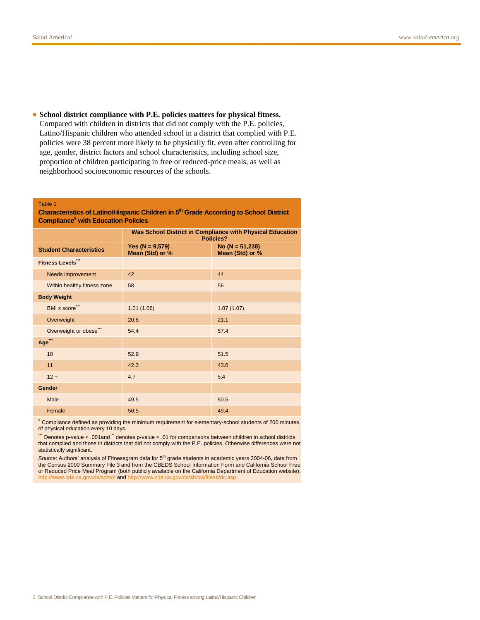■ **School district compliance with P.E. policies matters for physical fitness.** Compared with children in districts that did not comply with the P.E. policies, Latino/Hispanic children who attended school in a district that complied with P.E. policies were 38 percent more likely to be physically fit, even after controlling for age, gender, district factors and school characteristics, including school size, proportion of children participating in free or reduced-price meals, as well as neighborhood socioeconomic resources of the schools.

#### Table 1

**Characteristics of Latino/Hispanic Children in 5th Grade According to School District Compliance<sup>a</sup> with Education Policies**

|                                | Was School District in Compliance with Physical Education<br>Policies? |                                        |
|--------------------------------|------------------------------------------------------------------------|----------------------------------------|
| <b>Student Characteristics</b> | Yes ( $N = 9,579$ )<br>Mean (Std) or %                                 | No ( $N = 51,238$ )<br>Mean (Std) or % |
| <b>Fitness Levels"</b>         |                                                                        |                                        |
| Needs improvement              | 42                                                                     | 44                                     |
| Within healthy fitness zone    | 58                                                                     | 56                                     |
| <b>Body Weight</b>             |                                                                        |                                        |
| BMI z score"**                 | 1.01(1.06)                                                             | 1.07(1.07)                             |
| Overweight                     | 20.8                                                                   | 21.1                                   |
| Overweight or obese            | 54.4                                                                   | 57.4                                   |
| Age <sup>"</sup>               |                                                                        |                                        |
| 10 <sup>10</sup>               | 52.9                                                                   | 51.5                                   |
| 11                             | 42.3                                                                   | 43.0                                   |
| $12 +$                         | 4.7                                                                    | 5.4                                    |
| Gender                         |                                                                        |                                        |
| Male                           | 49.5                                                                   | 50.5                                   |
| Female                         | 50.5                                                                   | 49.4                                   |

a Compliance defined as providing the minimum requirement for elementary-school students of 200 minutes of physical education every 10 days.

\*\*\* Denotes p-value < .001and \*\* denotes p-value < .01 for comparisons between children in school districts that complied and those in districts that did not comply with the P.E. policies. Otherwise differences were not statistically significant.

Source: Authors' analysis of Fitnessgram data for 5<sup>th</sup> grade students in academic years 2004-06, data from the Census 2000 Summary File 3 and from the CBEDS School Information Form and California School Free or Reduced Price Meal Program (both publicly available on the California Department of Education website):<br>http://www.cde.ca.gov/ds/sd/sd/ and http://www.cde.ca.gov/ds/sh/cw/filesafdc.asp. http://www.ca.gov/ds/sd/sd/ and htt